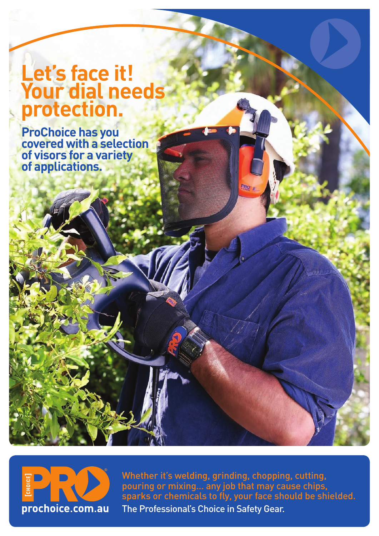## **Let's face it! Your dial needs protection.**

**ProChoice has you covered with a selection of visors for a variety of applications.**



Whether it's welding, grinding, chopping, cutting, pouring or mixing… any job that may cause chips, sparks or chemicals to fly, your face should be shielded. The Professional's Choice in Safety Gear.

Pro